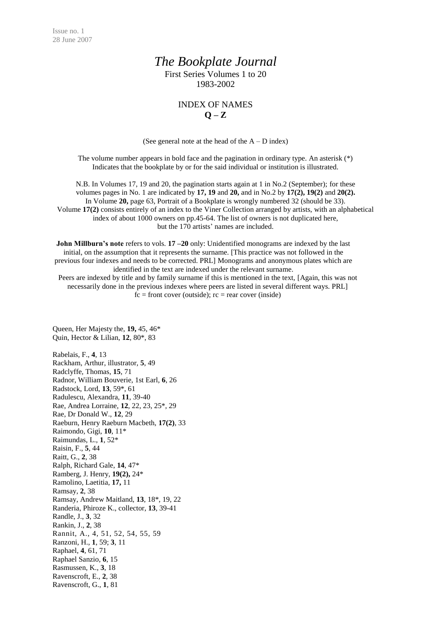## *The Bookplate Journal*

First Series Volumes 1 to 20 1983-2002

## INDEX OF NAMES  $Q - Z$

(See general note at the head of the  $A - D$  index)

The volume number appears in bold face and the pagination in ordinary type. An asterisk (\*) Indicates that the bookplate by or for the said individual or institution is illustrated.

N.B. In Volumes 17, 19 and 20, the pagination starts again at 1 in No.2 (September); for these volumes pages in No. 1 are indicated by **17, 19** and **20,** and in No.2 by **17(2), 19(2)** and **20(2).** In Volume **20,** page 63, Portrait of a Bookplate is wrongly numbered 32 (should be 33). Volume **17(2)** consists entirely of an index to the Viner Collection arranged by artists, with an alphabetical index of about 1000 owners on pp.45-64. The list of owners is not duplicated here, but the 170 artists' names are included.

**John Millburn's note** refers to vols. **17** – **20** only: Unidentified monograms are indexed by the last initial, on the assumption that it represents the surname. [This practice was not followed in the previous four indexes and needs to be corrected. PRL] Monograms and anonymous plates which are identified in the text are indexed under the relevant surname.

Peers are indexed by title and by family surname if this is mentioned in the text, [Again, this was not necessarily done in the previous indexes where peers are listed in several different ways. PRL]  $fc = front cover (outside); rc = rear cover (inside)$ 

Queen, Her Majesty the, **19,** 45, 46\* Quin, Hector & Lilian, **12**, 80\*, 83

Rabelais, F., **4**, 13 Rackham, Arthur, illustrator, **5**, 49 Radclyffe, Thomas, **15**, 71 Radnor, William Bouverie, 1st Earl, **6**, 26 Radstock, Lord, **13**, 59\*, 61 Radulescu, Alexandra, **11**, 39-40 Rae, Andrea Lorraine, **12**, 22, 23, 25\*, 29 Rae, Dr Donald W., **12**, 29 Raeburn, Henry Raeburn Macbeth, **17(2)**, 33 Raimondo, Gigi, **10**, 11\* Raimundas, L., **1**, 52\* Raisin, F., **5**, 44 Raitt, G., **2**, 38 Ralph, Richard Gale, **14**, 47\* Ramberg, J. Henry, **19(2),** 24\* Ramolino, Laetitia, **17,** 11 Ramsay, **2**, 38 Ramsay, Andrew Maitland, **13**, 18\*, 19, 22 Randeria, Phiroze K., collector, **13**, 39-41 Randle, J., **3**, 32 Rankin, J., **2**, 38 Rannit, A., 4, 51, 52, 54, 55, 59 Ranzoni, H., **1**, 59; **3**, 11 Raphael, **4**, 61, 71 Raphael Sanzio, **6**, 15 Rasmussen, K., **3**, 18 Ravenscroft, E., **2**, 38 Ravenscroft, G., **1**, 81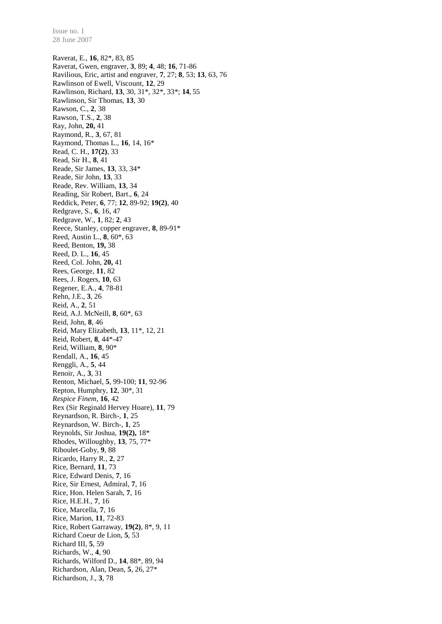Raverat, E., **16**, 82\*, 83, 85 Raverat, Gwen, engraver, **3**, 89; **4**, 48; **16**, 71-86 Ravilious, Eric, artist and engraver, **7**, 27; **8**, 53; **13**, 63, 76 Rawlinson of Ewell, Viscount, **12**, 29 Rawlinson, Richard, **13**, 30, 31\*, 32\*, 33\*; **14**, 55 Rawlinson, Sir Thomas, **13**, 30 Rawson, C., **2**, 38 Rawson, T.S., **2**, 38 Ray, John, **20,** 41 Raymond, R., **3**, 67, 81 Raymond, Thomas L., **16**, 14, 16\* Read, C. H., **17(2)**, 33 Read, Sir H., **8**, 41 Reade, Sir James, **13**, 33, 34\* Reade, Sir John, **13**, 33 Reade, Rev. William, **13**, 34 Reading, Sir Robert, Bart., **6**, 24 Reddick, Peter, **6**, 77; **12**, 89-92; **19(2)**, 40 Redgrave, S., **6**, 16, 47 Redgrave, W., **1**, 82; **2**, 43 Reece, Stanley, copper engraver, **8**, 89-91\* Reed, Austin L., **8**, 60\*, 63 Reed, Benton, **19,** 38 Reed, D. L., **16**, 45 Reed, Col. John, **20,** 41 Rees, George, **11**, 82 Rees, J. Rogers, **10**, 63 Regener, E.A., **4**, 78-81 Rehn, J.E., **3**, 26 Reid, A., **2**, 51 Reid, A.J. McNeill, **8**, 60\*, 63 Reid, John, **8**, 46 Reid, Mary Elizabeth, **13**, 11\*, 12, 21 Reid, Robert, **8**, 44\*-47 Reid, William, **8**, 90\* Rendall, A., **16**, 45 Renggli, A., **5**, 44 Renoir, A., **3**, 31 Renton, Michael, **5**, 99-100; **11**, 92-96 Repton, Humphry, **12**, 30\*, 31 *Respice Finem*, **16**, 42 Rex (Sir Reginald Hervey Hoare), **11**, 79 Reynardson, R. Birch-, **1**, 25 Reynardson, W. Birch-, **1**, 25 Reynolds, Sir Joshua, **19(2),** 18\* Rhodes, Willoughby, **13**, 75, 77\* Riboulet-Goby, **9**, 88 Ricardo, Harry R., **2**, 27 Rice, Bernard, **11**, 73 Rice, Edward Denis, **7**, 16 Rice, Sir Ernest, Admiral, **7**, 16 Rice, Hon. Helen Sarah, **7**, 16 Rice, H.E.H., **7**, 16 Rice, Marcella, **7**, 16 Rice, Marion, **11**, 72-83 Rice, Robert Garraway, **19(2)**, 8\*, 9, 11 Richard Coeur de Lion, **5**, 53 Richard III, **5**, 59 Richards, W., **4**, 90 Richards, Wilford D., **14**, 88\*, 89, 94 Richardson, Alan, Dean, **5**, 26, 27\* Richardson, J., **3**, 78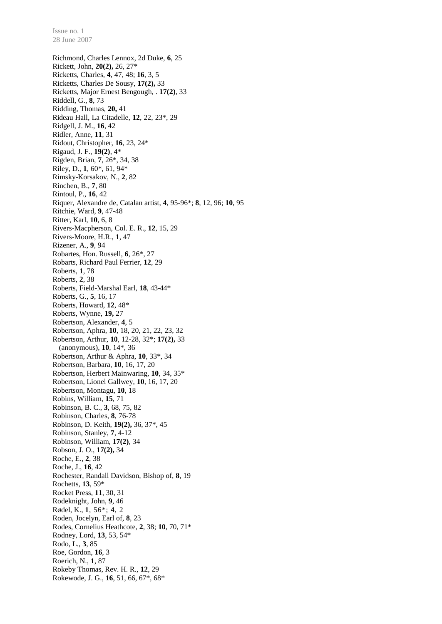Richmond, Charles Lennox, 2d Duke, **6**, 25 Rickett, John, **20(2),** 26, 27\* Ricketts, Charles, **4**, 47, 48; **16**, 3, 5 Ricketts, Charles De Sousy, **17(2),** 33 Ricketts, Major Ernest Bengough, . **17(2)**, 33 Riddell, G., **8**, 73 Ridding, Thomas, **20,** 41 Rideau Hall, La Citadelle, **12**, 22, 23\*, 29 Ridgell, J. M., **16**, 42 Ridler, Anne, **11**, 31 Ridout, Christopher, **16**, 23, 24\* Rigaud, J. F., **19(2)**, 4\* Rigden, Brian, **7**, 26\*, 34, 38 Riley, D., **1**, 60\*, 61, 94\* Rimsky-Korsakov, N., **2**, 82 Rinchen, B., **7**, 80 Rintoul, P., **16**, 42 Riquer, Alexandre de, Catalan artist, **4**, 95-96\*; **8**, 12, 96; **10**, 95 Ritchie, Ward, **9**, 47-48 Ritter, Karl, **10**, 6, 8 Rivers-Macpherson, Col. E. R., **12**, 15, 29 Rivers-Moore, H.R., **1**, 47 Rizener, A., **9**, 94 Robartes, Hon. Russell, **6**, 26\*, 27 Robarts, Richard Paul Ferrier, **12**, 29 Roberts, **1**, 78 Roberts, **2**, 38 Roberts, Field-Marshal Earl, **18**, 43-44\* Roberts, G., **5**, 16, 17 Roberts, Howard, **12**, 48\* Roberts, Wynne, **19,** 27 Robertson, Alexander, **4**, 5 Robertson, Aphra, **10**, 18, 20, 21, 22, 23, 32 Robertson, Arthur, **10**, 12-28, 32\*; **17(2),** 33 (anonymous), **10**, 14\*, 36 Robertson, Arthur & Aphra, **10**, 33\*, 34 Robertson, Barbara, **10**, 16, 17, 20 Robertson, Herbert Mainwaring, **10**, 34, 35\* Robertson, Lionel Gallwey, **10**, 16, 17, 20 Robertson, Montagu, **10**, 18 Robins, William, **15**, 71 Robinson, B. C., **3**, 68, 75, 82 Robinson, Charles, **8**, 76-78 Robinson, D. Keith, **19(2),** 36, 37\*, 45 Robinson, Stanley, **7**, 4-12 Robinson, William, **17(2)**, 34 Robson, J. O., **17(2),** 34 Roche, E., **2**, 38 Roche, J., **16**, 42 Rochester, Randall Davidson, Bishop of, **8**, 19 Rochetts, **13**, 59\* Rocket Press, **11**, 30, 31 Rodeknight, John, **9**, 46 Rødel, K., **1**, 56\*; **4**, 2 Roden, Jocelyn, Earl of, **8**, 23 Rodes, Cornelius Heathcote, **2**, 38; **10**, 70, 71\* Rodney, Lord, **13**, 53, 54\* Rodo, L., **3**, 85 Roe, Gordon, **16**, 3 Roerich, N., **1**, 87 Rokeby Thomas, Rev. H. R., **12**, 29 Rokewode, J. G., **16**, 51, 66, 67\*, 68\*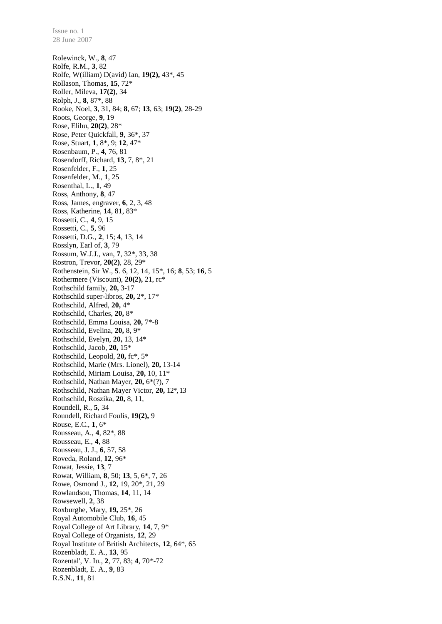Rolewinck, W., **8**, 47 Rolfe, R.M., **3**, 82 Rolfe, W(illiam) D(avid) Ian, **19(2),** 43\*, 45 Rollason, Thomas, **15**, 72\* Roller, Mileva, **17(2)**, 34 Rolph, J., **8**, 87\*, 88 Rooke, Noel, **3**, 31, 84; **8**, 67; **13**, 63; **19(2)**, 28-29 Roots, George, **9**, 19 Rose, Elihu, **20(2)**, 28\* Rose, Peter Quickfall, **9**, 36\*, 37 Rose, Stuart, **1**, 8\*, 9; **12**, 47\* Rosenbaum, P., **4**, 76, 81 Rosendorff, Richard, **13**, 7, 8\*, 21 Rosenfelder, F., **1**, 25 Rosenfelder, M., **1**, 25 Rosenthal, L., **1**, 49 Ross, Anthony, **8**, 47 Ross, James, engraver, **6**, 2, 3, 48 Ross, Katherine, **14**, 81, 83\* Rossetti, C., **4**, 9, 15 Rossetti, C., **5**, 96 Rossetti, D.G., **2**, 15; **4**, 13, 14 Rosslyn, Earl of, **3**, 79 Rossum, W.J.J., van, **7**, 32\*, 33, 38 Rostron, Trevor, **20(2)**, 28, 29\* Rothenstein, Sir W., **5**. 6, 12, 14, 15\*, 16; **8**, 53; **16**, 5 Rothermere (Viscount), **20(2),** 21, rc\* Rothschild family, **20,** 3-17 Rothschild super-libros, **20,** 2\*, 17\* Rothschild, Alfred, **20,** 4\* Rothschild, Charles, **20,** 8\* Rothschild, Emma Louisa, **20,** 7\*-8 Rothschild, Evelina, **20,** 8, 9\* Rothschild, Evelyn, **20,** 13, 14\* Rothschild, Jacob, **20,** 15\* Rothschild, Leopold, **20,** fc\*, 5\* Rothschild, Marie (Mrs. Lionel), **20,** 13-14 Rothschild, Miriam Louisa, **20,** 10, 11\* Rothschild, Nathan Mayer, **20,** 6\*(?), 7 Rothschild, Nathan Mayer Victor, **20,** 12\*, 13 Rothschild, Roszika, **20,** 8, 11, Roundell, R., **5**, 34 Roundell, Richard Foulis, **19(2),** 9 Rouse, E.C., **1**, 6\* Rousseau, A., **4**, 82\*, 88 Rousseau, E., **4**, 88 Rousseau, J. J., **6**, 57, 58 Roveda, Roland, **12**, 96\* Rowat, Jessie, **13**, 7 Rowat, William, **8**, 50; **13**, 5, 6\*, 7, 26 Rowe, Osmond J., **12**, 19, 20\*, 21, 29 Rowlandson, Thomas, **14**, 11, 14 Rowsewell, **2**, 38 Roxburghe, Mary, **19,** 25\*, 26 Royal Automobile Club, **16**, 45 Royal College of Art Library, **14**, 7, 9\* Royal College of Organists, **12**, 29 Royal Institute of British Architects, **12**, 64\*, 65 Rozenbladt, E. A., **13**, 95 Rozental', V. Iu., **2**, 77, 83; **4**, 70*\**-72 Rozenbladt, E. A., **9**, 83 R.S.N., **11**, 81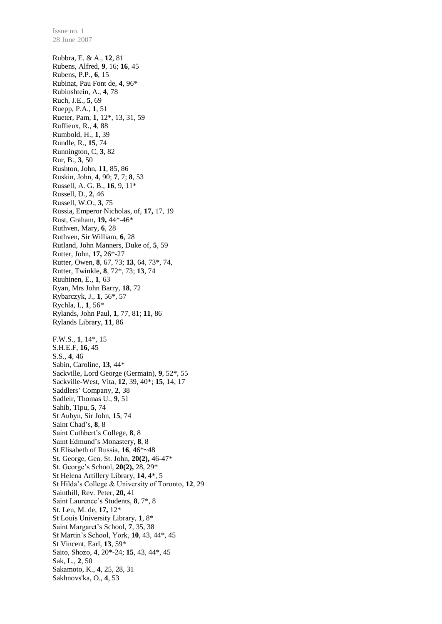Rubbra, E. & A., **12**, 81 Rubens, Alfred, **9**, 16; **16**, 45 Rubens, P.P., **6**, 15 Rubinat, Pau Font de, **4**, 96\* Rubinshtein, A., **4**, 78 Ruch, J.E., **5**, 69 Ruepp, P.A., **1**, 51 Rueter, Pam, **1**, 12\*, 13, 31, 59 Ruffieux, R., **4**, 88 Rumbold, H., **1**, 39 Rundle, R., **15**, 74 Runnington, C, **3**, 82 Rur, B., **3**, 50 Rushton, John, **11**, 85, 86 Ruskin, John, **4**, 90; **7**, 7; **8**, 53 Russell, A. G. B., **16**, 9, 11\* Russell, D., **2**, 46 Russell, W.O., **3**, 75 Russia, Emperor Nicholas, of, **17,** 17, 19 Rust, Graham, **19,** 44\*-46\* Ruthven, Mary, **6**, 28 Ruthven, Sir William, **6**, 28 Rutland, John Manners, Duke of, **5**, 59 Rutter, John, **17,** 26\*-27 Rutter, Owen, **8**, 67, 73; **13**, 64, 73\*, 74, Rutter, Twinkle, **8**, 72\*, 73; **13**, 74 Ruuhinen, E., **1**, 63 Ryan, Mrs John Barry, **18**, 72 Rybarczyk, J., **1**, 56\*, 57 Rychla, I., **1**, 56\* Rylands, John Paul, **1**, 77, 81; **11**, 86 Rylands Library, **11**, 86 F.W.S., **1**, 14\*, 15 S.H.E.F, **16**, 45 S.S., **4**, 46 Sabin, Caroline, **13**, 44\* Sackville, Lord George (Germain), **9**, 52\*, 55 Sackville-West, Vita, **12**, 39, 40\*; **15**, 14, 17 Saddlers' Company, **2**, 38 Sadleir, Thomas U., **9**, 51 Sahib, Tipu, **5**, 74 St Aubyn, Sir John, **15**, 74 Saint Chad's, **8**, 8 Saint Cuthbert's College, **8**, 8 Saint Edmund's Monastery, **8**, 8 St Elisabeth of Russia, **16**, 46\*~48 St. George, Gen. St. John, **20(2),** 46-47\* St. George's School, **20(2),** 28, 29\* St Helena Artillery Library, **14**, 4\*, 5 St Hilda's College & University of Toronto, **12**, 29 Sainthill, Rev. Peter, **20,** 41 Saint Laurence's Students, **8**, 7\*, 8 St. Leu, M. de, **17,** 12\* St Louis University Library, **1**, 8\* Saint Margaret's School, **7**, 35, 38 St Martin's School, York, **10**, 43, 44\*, 45 St Vincent, Earl, **13**, 59\* Saito, Shozo, **4**, 20\*-24; **15**, 43, 44\*, 45 Sak, L., **2**, 50 Sakamoto, K., **4**, 25, 28, 31 Sakhnovs'ka, O., **4**, 53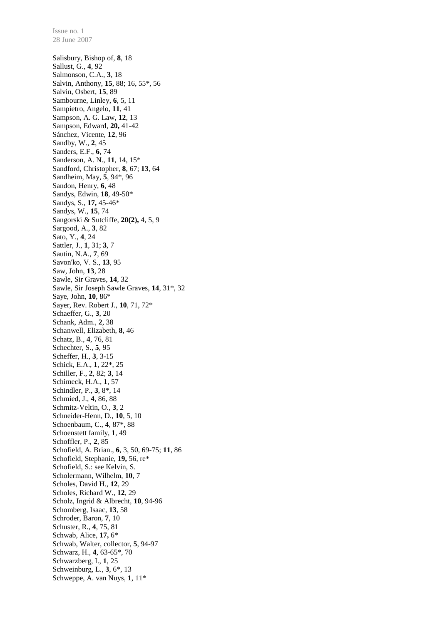28 June 2007 Salisbury, Bishop of, **8**, 18 Sallust, G., **4**, 92 Salmonson, C.A., **3**, 18 Salvin, Anthony, **15**, 88; 16, 55\*, 56 Salvin, Osbert, **15**, 89 Sambourne, Linley, **6**, 5, 11 Sampietro, Angelo, **11**, 41 Sampson, A. G. Law, **12**, 13 Sampson, Edward, **20,** 41-42 Sánchez, Vicente, **12**, 96 Sandby, W., **2**, 45 Sanders, E.F., **6**, 74 Sanderson, A. N., **11**, 14, 15\* Sandford, Christopher, **8**, 67; **13**, 64 Sandheim, May, **5**, 94\*, 96 Sandon, Henry, **6**, 48 Sandys, Edwin, **18**, 49-50\* Sandys, S., **17,** 45-46\* Sandys, W., **15**, 74 Sangorski & Sutcliffe, **20(2),** 4, 5, 9 Sargood, A., **3**, 82 Sato, Y., **4**, 24 Sattler, J., **1**, 31; **3**, 7 Sautin, N.A., **7**, 69 Savon'ko, V. S., **13**, 95 Saw, John, **13**, 28 Sawle, Sir Graves, **14**, 32 Sawle, Sir Joseph Sawle Graves, **14**, 31\*, 32 Saye, John, **10**, 86\* Sayer, Rev. Robert J., **10**, 71, 72\* Schaeffer, G., **3**, 20 Schank, Adm., **2**, 38 Schanwell, Elizabeth, **8**, 46 Schatz, B., **4**, 76, 81 Schechter, S., **5**, 95 Scheffer, H., **3**, 3-15 Schick, E.A., **1**, 22\*, 25 Schiller, F., **2**, 82; **3**, 14 Schimeck, H.A., **1**, 57 Schindler, P., **3**, 8\*, 14 Schmied, J., **4**, 86, 88 Schmitz-Veltin, O., **3**, 2 Schneider-Henn, D., **10**, 5, 10 Schoenbaum, C., **4**, 87\*, 88 Schoenstett family, **1**, 49 Schoffler, P., **2**, 85 Schofield, A. Brian., **6**, 3, 50, 69-75; **11**, 86 Schofield, Stephanie, **19,** 56, re\* Schofield, S.: see Kelvin, S. Scholermann, Wilhelm, **10**, 7 Scholes, David H., **12**, 29 Scholes, Richard W., **12**, 29 Scholz, Ingrid & Albrecht, **10**, 94-96 Schomberg, Isaac, **13**, 58 Schroder, Baron, **7**, 10 Schuster, R., **4**, 75, 81 Schwab, Alice, **17,** 6\* Schwab, Walter, collector, **5**, 94-97 Schwarz, H., **4**, 63-65\*, 70 Schwarzberg, I., **1**, 25 Schweinburg, L., **3**, 6\*, 13 Schweppe, A. van Nuys, **1**, 11\*

Issue no. 1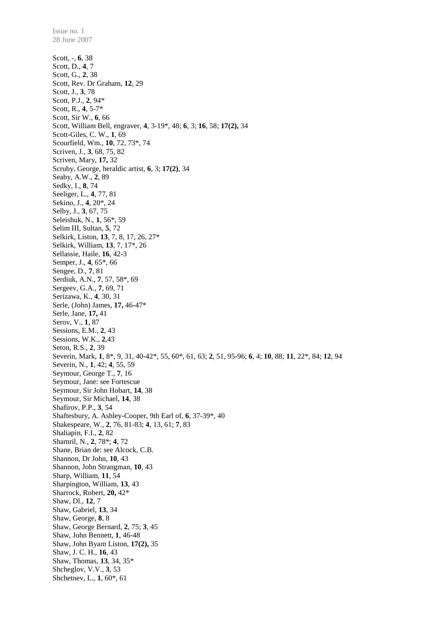Scott, -, **6**, 38 Scott, D., **4**, 7 Scott, G., **2**, 38 Scott, Rev. Dr Graham, **12**, 29 Scott, J., **3**, 78 Scott, P.J., **2**, 94\* Scott, R., **4**, 5-7\* Scott, Sir W., **6**, 66 Scott, William Bell, engraver, **4**, 3-19\*, 48; **6**, 3; **16**, 58; **17(2),** 34 Scott-Giles, C. W., **1**, 69 Scourfield, Wm., **10**, 72, 73\*, 74 Scriven, J., **3**, 68, 75, 82 Scriven, Mary, **17,** 32 Scruby, George, heraldic artist, **6**, 3; **17(2)**, 34 Seaby, A.W., **2**, 89 Sedky, I., **8**, 74 Seeliger, L., **4**, 77, 81 Sekino, J., **4**, 20\*, 24 Selby, J., **3**, 67, 75 Seleishuk, N., **1**, 56\*, 59 Selim III, Sultan, **5**, 72 Selkirk, Liston, **13**, 7, 8, 17, 26, 27\* Selkirk, William, **13**, 7, 17\*, 26 Sellassie, Haile, **16**, 42-3 Semper, J., **4**, 65\*, 66 Sengee, D., **7**, 81 Serdiuk, A.N., **7**, 57, 58\*, 69 Sergeev, G.A., **7**, 69, 71 Serizawa, K., **4**, 30, 31 Serle, (John) James, **17,** 46-47\* Serle, Jane, **17,** 41 Serov, V., **1**, 87 Sessions, E.M., **2**, 43 Sessions, W.K., **2**,43 Seton, R.S., **2**, 39 Severin, Mark, **1**, 8\*, 9, 31, 40-42\*, 55, 60\*, 61, 63; **2**, 51, 95-96; **6**, 4; **10**, 88; **11**, 22\*, 84; **12**, 94 Severin, N., **1**, 42; **4**, 55, 59 Seymour, George T., **7**, 16 Seymour, Jane: see Fortescue Seymour, Sir John Hobart, **14**, 38 Seymour, Sir Michael, **14**, 38 Shafirov, P.P., **3**, 54 Shaftesbury, A. Ashley-Cooper, 9th Earl of, **6**, 37-39\*, 40 Shakespeare, W., **2**, 76, 81-83; **4**, 13, 61; **7**, 83 Shaliapin, F.I., **2**, 82 Shamril, N., **2**, 78\*; **4**, 72 Shane, Brian de: see Alcock, C.B. Shannon, Dr John, **10**, 43 Shannon, John Strangman, **10**, 43 Sharp, William, **11**, 54 Sharpington, William, **13**, 43 Sharrock, Robert, **20,** 42\* Shaw, Dl., **12**, 7 Shaw, Gabriel, **13**, 34 Shaw, George, **8**, 8 Shaw, George Bernard, **2**, 75; **3**, 45 Shaw, John Bennett, **1**, 46-48 Shaw, John Byam Liston, **17(2),** 35 Shaw, J. C. H., **16**, 43 Shaw, Thomas, **13**, 34, 35\* Shcheglov, V.V., **3**, 53 Shchetnev, L., **1**, 60\*, 61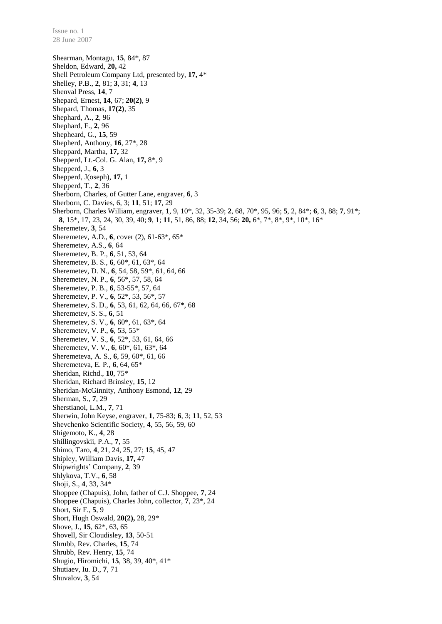Shearman, Montagu, **15**, 84\*, 87 Sheldon, Edward, **20,** 42 Shell Petroleum Company Ltd, presented by, **17,** 4\* Shelley, P.B., **2**, 81; **3**, 31; **4**, 13 Shenval Press, **14**, 7 Shepard, Ernest, **14**, 67; **20(2)**, 9 Shepard, Thomas, **17(2)**, 35 Shephard, A., **2**, 96 Shephard, F., **2**, 96 Shepheard, G., **15**, 59 Shepherd, Anthony, **16**, 27\*, 28 Sheppard, Martha, **17,** 32 Shepperd, Lt.-Col. G. Alan, **17,** 8\*, 9 Shepperd, J., **6**, 3 Shepperd, J(oseph), **17,** 1 Shepperd, T., **2**, 36 Sherborn, Charles, of Gutter Lane, engraver, **6**, 3 Sherborn, C. Davies, 6, 3; **11**, 51; **17**, 29 Sherborn, Charles William, engraver, **1**, 9, 10\*, 32, 35-39; **2**, 68, 70\*, 95, 96; **5**, 2, 84\*; **6**, 3, 88; **7**, 91\*; **8**, 15\*, 17, 23, 24, 30, 39, 40; **9**, 1; **11**, 51, 86, 88; **12**, 34, 56; **20,** 6\*, 7\*, 8\*, 9\*, 10\*, 16\* Sheremetev, **3**, 54 Sheremetev, A.D., **6**, cover (2), 61-63\*, 65\* Sheremetev, A.S., **6**, 64 Sheremetev, B. P., **6**, 51, 53, 64 Sheremetev, B. S., **6**, 60\*, 61, 63\*, 64 Sheremetev, D. N., **6**, 54, 58, 59\*, 61, 64, 66 Sheremetev, N. P., **6**, 56\*, 57, 58, 64 Sheremetev, P. B., **6**, 53-55\*, 57, 64 Sheremetev, P. V., **6**, 52\*, 53, 56\*, 57 Sheremetev, S. D., **6**, 53, 61, 62, 64, 66, 67\*, 68 Sheremetev, S. S., **6**, 51 Sheremetev, S. V., **6**, 60\*, 61, 63\*, 64 Sheremetev, V. P., **6**, 53, 55\* Sheremetev, V. S., **6**, 52\*, 53, 61, 64, 66 Sheremetev, V. V., **6**, 60\*, 61, 63\*, 64 Sheremeteva, A. S., **6**, 59, 60\*, 61, 66 Sheremeteva, E. P., **6**, 64, 65\* Sheridan, Richd., **10**, 75\* Sheridan, Richard Brinsley, **15**, 12 Sheridan-McGinnity, Anthony Esmond, **12**, 29 Sherman, S., **7**, 29 Sherstianoi, L.M., **7**, 71 Sherwin, John Keyse, engraver, **1**, 75-83; **6**, 3; **11**, 52, 53 Shevchenko Scientific Society, **4**, 55, 56, 59, 60 Shigemoto, K., **4**, 28 Shillingovskii, P.A., **7**, 55 Shimo, Taro, **4**, 21, 24, 25, 27; **15**, 45, 47 Shipley, William Davis, **17,** 47 Shipwrights' Company, **2**, 39 Shlykova, T.V., **6**, 58 Shoji, S., **4**, 33, 34\* Shoppee (Chapuis), John, father of C.J. Shoppee, **7**, 24 Shoppee (Chapuis), Charles John, collector, **7**, 23\*, 24 Short, Sir F., **5**, 9 Short, Hugh Oswald, **20(2),** 28, 29\* Shove, J., **15**, 62\*, 63, 65 Shovell, Sir Cloudisley, **13**, 50-51 Shrubb, Rev. Charles, **15**, 74 Shrubb, Rev. Henry, **15**, 74 Shugio, Hiromichi, **15**, 38, 39, 40\*, 41\* Shutiaev, Iu. D., **7**, 71 Shuvalov, **3**, 54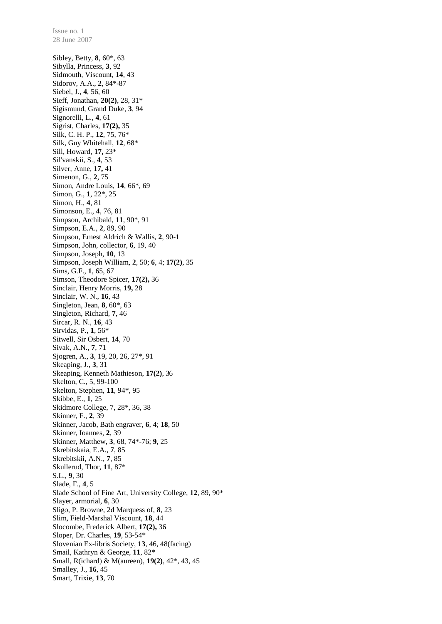Sibley, Betty, **8**, 60\*, 63 Sibylla, Princess, **3**, 92 Sidmouth, Viscount, **14**, 43 Sidorov, A.A., **2**, 84\*-87 Siebel, J., **4**, 56, 60 Sieff, Jonathan, **20(2)**, 28, 31\* Sigismund, Grand Duke, **3**, 94 Signorelli, L., **4**, 61 Sigrist, Charles, **17(2),** 35 Silk, C. H. P., **12**, 75, 76\* Silk, Guy Whitehall, **12**, 68\* Sill, Howard, **17,** 23\* Sil'vanskii, S., **4**, 53 Silver, Anne, **17,** 41 Simenon, G., **2**, 75 Simon, Andre Louis, **14**, 66\*, 69 Simon, G., **1**, 22\*, 25 Simon, H., **4**, 81 Simonson, E., **4**, 76, 81 Simpson, Archibald, **11**, 90\*, 91 Simpson, E.A., **2**, 89, 90 Simpson, Ernest Aldrich & Wallis, **2**, 90-1 Simpson, John, collector, **6**, 19, 40 Simpson, Joseph, **10**, 13 Simpson, Joseph William, **2**, 50; **6**, 4; **17(2)**, 35 Sims, G.F., **1**, 65, 67 Simson, Theodore Spicer, **17(2),** 36 Sinclair, Henry Morris, **19,** 28 Sinclair, W. N., **16**, 43 Singleton, Jean, **8**, 60\*, 63 Singleton, Richard, **7**, 46 Sircar, R. N., **16**, 43 Sirvidas, P., **1**, 56\* Sitwell, Sir Osbert, **14**, 70 Sivak, A.N., **7**, 71 Sjogren, A., **3**, 19, 20, 26, 27\*, 91 Skeaping, J., **3**, 31 Skeaping, Kenneth Mathieson, **17(2)**, 36 Skelton, C., 5, 99-100 Skelton, Stephen, **11**, 94\*, 95 Skibbe, E., **1**, 25 Skidmore College, 7, 28\*, 36, 38 Skinner, F., **2**, 39 Skinner, Jacob, Bath engraver, **6**, 4; **18**, 50 Skinner, Ioannes, **2**, 39 Skinner, Matthew, **3**, 68, 74\*-76; **9**, 25 Skrebitskaia, E.A., **7**, 85 Skrebitskii, A.N., **7**, 85 Skullerud, Thor, **11**, 87\* S.L., **9**, 30 Slade, F., **4**, 5 Slade School of Fine Art, University College, **12**, 89, 90\* Slayer, armorial, **6**, 30 Sligo, P. Browne, 2d Marquess of, **8**, 23 Slim, Field-Marshal Viscount, **18**, 44 Slocombe, Frederick Albert, **17(2),** 36 Sloper, Dr. Charles, **19**, 53-54\* Slovenian Ex-libris Society, **13**, 46, 48(facing) Smail, Kathryn & George, **11**, 82\* Small, R(ichard) & M(aureen), **19(2)**, 42\*, 43, 45 Smalley, J., **16**, 45 Smart, Trixie, **13**, 70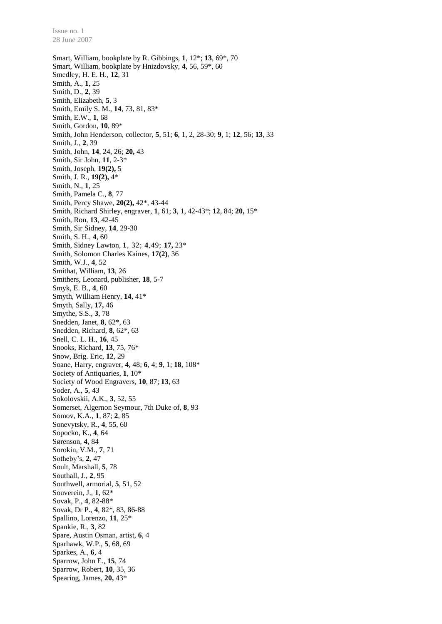Smart, William, bookplate by R. Gibbings, **1**, 12\*; **13**, 69\*, 70 Smart, William, bookplate by Hnizdovsky, **4**, 56, 59\*, 60 Smedley, H. E. H., **12**, 31 Smith, A., **1**, 25 Smith, D., **2**, 39 Smith, Elizabeth, **5**, 3 Smith, Emily S. M., **14**, 73, 81, 83\* Smith, E.W., **1**, 68 Smith, Gordon, **10**, 89\* Smith, John Henderson, collector, **5**, 51; **6**, 1, 2, 28-30; **9**, 1; **12**, 56; **13**, 33 Smith, J., **2**, 39 Smith, John, **14**, 24, 26; **20,** 43 Smith, Sir John, **11**, 2-3\* Smith, Joseph, **19(2),** 5 Smith, J. R., **19(2),** 4\* Smith, N., **1**, 25 Smith, Pamela C., **8**, 77 Smith, Percy Shawe, **20(2),** 42\*, 43-44 Smith, Richard Shirley, engraver, **1**, 61; **3**, 1, 42-43\*; **12**, 84; **20,** 15\* Smith, Ron, **13**, 42-45 Smith, Sir Sidney, **14**, 29-30 Smith, S. H., **4**, 60 Smith, Sidney Lawton, **1**, 32; **4**,49; **17,** 23\* Smith, Solomon Charles Kaines, **17(2)**, 36 Smith, W.J., **4**, 52 Smithat, William, **13**, 26 Smithers, Leonard, publisher, **18**, 5-7 Smyk, E. B., **4**, 60 Smyth, William Henry, **14**, 41\* Smyth, Sally, **17,** 46 Smythe, S.S., **3**, 78 Snedden, Janet, **8**, 62\*, 63 Snedden, Richard, **8**, 62\*, 63 Snell, C. L. H., **16**, 45 Snooks, Richard, **13**, 75, 76\* Snow, Brig. Eric, **12**, 29 Soane, Harry, engraver, **4**, 48; **6**, 4; **9**, 1; **18**, 108\* Society of Antiquaries, **1**, 10\* Society of Wood Engravers, **10**, 87; **13**, 63 Soder, A., **5**, 43 Sokolovskii, A.K., **3**, 52, 55 Somerset, Algernon Seymour, 7th Duke of, **8**, 93 Somov, K.A., **1**, 87; **2**, 85 Sonevytsky, R., **4**, 55, 60 Sopocko, K., **4**, 64 Sørenson, **4**, 84 Sorokin, V.M., **7**, 71 Sotheby's, **2**, 47 Soult, Marshall, **5**, 78 Southall, J., **2**, 95 Southwell, armorial, **5**, 51, 52 Souverein, J., **1**, 62\* Sovak, P., **4**, 82-88\* Sovak, Dr P., **4**, 82\*, 83, 86-88 Spallino, Lorenzo, **11**, 25\* Spankie, R., **3**, 82 Spare, Austin Osman, artist, **6**, 4 Sparhawk, W.P., **5**, 68, 69 Sparkes, A., **6**, 4 Sparrow, John E., **15**, 74 Sparrow, Robert, **10**, 35, 36 Spearing, James, **20,** 43\*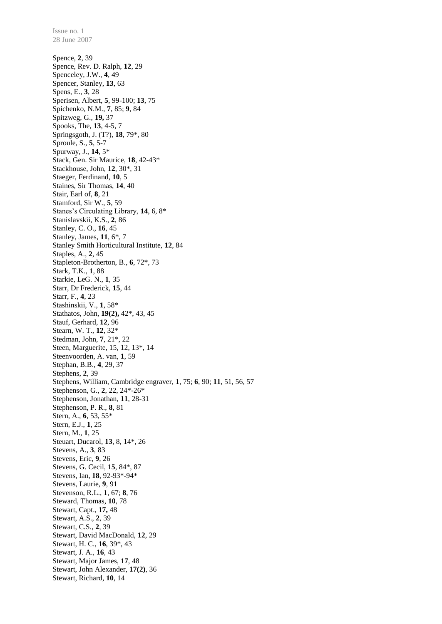28 June 2007 Spence, **2**, 39 Spence, Rev. D. Ralph, **12**, 29 Spenceley, J.W., **4**, 49 Spencer, Stanley, **13**, 63 Spens, E., **3**, 28 Sperisen, Albert, **5**, 99-100; **13**, 75 Spichenko, N.M., **7**, 85; **9**, 84 Spitzweg, G., **19,** 37 Spooks, The, **13**, 4-5, 7 Springsgoth, J. (T?), **18**, 79\*, 80 Sproule, S., **5**, 5-7 Spurway, J., **14**, 5\* Stack, Gen. Sir Maurice, **18**, 42-43\* Stackhouse, John, **12**, 30\*, 31 Staeger, Ferdinand, **10**, 5 Staines, Sir Thomas, **14**, 40 Stair, Earl of, **8**, 21 Stamford, Sir W., **5**, 59 Stanes's Circulating Library, **14**, 6, 8\* Stanislavskii, K.S., **2**, 86 Stanley, C. O., **16**, 45 Stanley, James, **11**, 6\*, 7 Stanley Smith Horticultural Institute, **12**, 84 Staples, A., **2**, 45 Stapleton-Brotherton, B., **6**, 72\*, 73 Stark, T.K., **1**, 88 Starkie, LeG. N., **1**, 35 Starr, Dr Frederick, **15**, 44 Starr, F., **4**, 23 Stashinskii, V., **1**, 58\* Stathatos, John, **19(2),** 42\*, 43, 45 Stauf, Gerhard, **12**, 96 Stearn, W. T., **12**, 32\* Stedman, John, **7**, 21\*, 22 Steen, Marguerite, 15, 12, 13\*, 14 Steenvoorden, A. van, **1**, 59 Stephan, B.B., **4**, 29, 37 Stephens, **2**, 39 Stephens, William, Cambridge engraver, **1**, 75; **6**, 90; **11**, 51, 56, 57 Stephenson, G., **2**, 22, 24\*-26\* Stephenson, Jonathan, **11**, 28-31 Stephenson, P. R., **8**, 81 Stern, A., **6**, 53, 55\* Stern, E.J., **1**, 25 Stern, M., **1**, 25 Steuart, Ducarol, **13**, 8, 14\*, 26 Stevens, A., **3**, 83 Stevens, Eric, **9**, 26 Stevens, G. Cecil, **15**, 84\*, 87 Stevens, Ian, **18**, 92-93\*-94\* Stevens, Laurie, **9**, 91 Stevenson, R.L., **1**, 67; **8**, 76 Steward, Thomas, **10**, 78 Stewart, Capt., **17,** 48 Stewart, A.S., **2**, 39 Stewart, C.S., **2**, 39 Stewart, David MacDonald, **12**, 29 Stewart, H. C., **16**, 39\*, 43 Stewart, J. A., **16**, 43 Stewart, Major James, **17**, 48 Stewart, John Alexander, **17(2)**, 36 Stewart, Richard, **10**, 14

Issue no. 1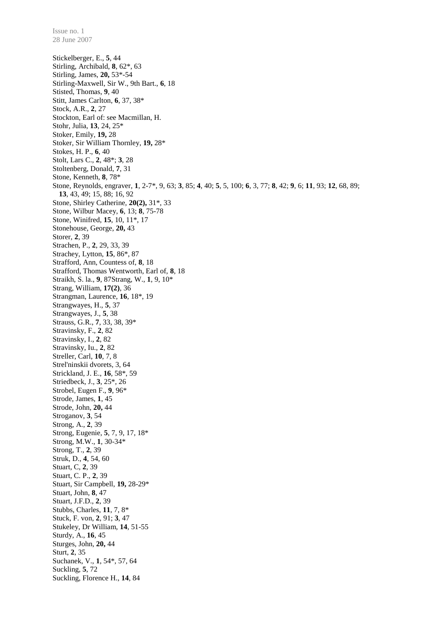Stickelberger, E., **5**, 44 Stirling, Archibald, **8**, 62\*, 63 Stirling, James, **20,** 53\*-54 Stirling-Maxwell, Sir W., 9th Bart., **6**, 18 Stisted, Thomas, **9**, 40 Stitt, James Carlton, **6**, 37, 38\* Stock, A.R., **2**, 27 Stockton, Earl of: see Macmillan, H. Stohr, Julia, **13**, 24, 25\* Stoker, Emily, **19,** 28 Stoker, Sir William Thornley, **19,** 28\* Stokes, H. P., **6**, 40 Stolt, Lars C., **2**, 48\*; **3**, 28 Stoltenberg, Donald, **7**, 31 Stone, Kenneth, **8**, 78\* Stone, Reynolds, engraver, **1**, 2-7\*, 9, 63; **3**, 85; **4**, 40; **5**, 5, 100; **6**, 3, 77; **8**, 42; **9**, 6; **11**, 93; **12**, 68, 89; **13**, 43, 49; 15, 88; 16, 92 Stone, Shirley Catherine, **20(2),** 31\*, 33 Stone, Wilbur Macey, **6**, 13; **8**, 75-78 Stone, Winifred, **15**, 10, 11\*, 17 Stonehouse, George, **20,** 43 Storer, **2**, 39 Strachen, P., **2**, 29, 33, 39 Strachey, Lytton, **15**, 86\*, 87 Strafford, Ann, Countess of, **8**, 18 Strafford, Thomas Wentworth, Earl of, **8**, 18 Straikh, S. la., **9**, 87Strang, W., **1**, 9, 10\* Strang, William, **17(2)**, 36 Strangman, Laurence, **16**, 18\*, 19 Strangwayes, H., **5**, 37 Strangwayes, J., **5**, 38 Strauss, G.R., **7**, 33, 38, 39\* Stravinsky, F., **2**, 82 Stravinsky, I., **2**, 82 Stravinsky, Iu., **2**, 82 Streller, Carl, **10**, 7, 8 Strel'ninskii dvorets, 3, 64 Strickland, J. E., **16**, 58\*, 59 Striedbeck, J., **3**, 25\*, 26 Strobel, Eugen F., **9**, 96\* Strode, James, **1**, 45 Strode, John, **20,** 44 Stroganov, **3**, 54 Strong, A., **2**, 39 Strong, Eugenie, **5**, 7, 9, 17, 18\* Strong, M.W., **1**, 30-34\* Strong, T., **2**, 39 Struk, D., **4**, 54, 60 Stuart, C, **2**, 39 Stuart, C. P., **2**, 39 Stuart, Sir Campbell, **19,** 28-29\* Stuart, John, **8**, 47 Stuart, J.F.D., **2**, 39 Stubbs, Charles, **11**, 7, 8\* Stuck, F. von, **2**, 91; **3**, 47 Stukeley, Dr William, **14**, 51-55 Sturdy, A., **16**, 45 Sturges, John, **20,** 44 Sturt, **2**, 35 Suchanek, V., **1**, 54\*, 57, 64 Suckling, **5**, 72 Suckling, Florence H., **14**, 84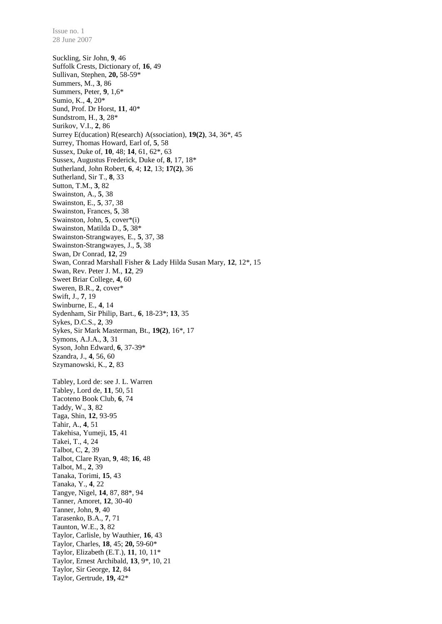Suckling, Sir John, **9**, 46 Suffolk Crests, Dictionary of, **16**, 49 Sullivan, Stephen, **20,** 58-59\* Summers, M., **3**, 86 Summers, Peter, **9**, 1,6\* Sumio, K., **4**, 20\* Sund, Prof. Dr Horst, **11**, 40\* Sundstrom, H., **3**, 28\* Surikov, V.I., **2**, 86 Surrey E(ducation) R(esearch) A(ssociation), **19(2)**, 34, 36\*, 45 Surrey, Thomas Howard, Earl of, **5**, 58 Sussex, Duke of, **10**, 48; **14**, 61, 62\*, 63 Sussex, Augustus Frederick, Duke of, **8**, 17, 18\* Sutherland, John Robert, **6**, 4; **12**, 13; **17(2)**, 36 Sutherland, Sir T., **8**, 33 Sutton, T.M., **3**, 82 Swainston, A., **5**, 38 Swainston, E., **5**, 37, 38 Swainston, Frances, **5**, 38 Swainston, John, **5**, cover\*(i) Swainston, Matilda D., **5**, 38\* Swainston-Strangwayes, E., **5**, 37, 38 Swainston-Strangwayes, J., **5**, 38 Swan, Dr Conrad, **12**, 29 Swan, Conrad Marshall Fisher & Lady Hilda Susan Mary, **12**, 12\*, 15 Swan, Rev. Peter J. M., **12**, 29 Sweet Briar College, **4**, 60 Sweren, B.R., **2**, cover\* Swift, J., **7**, 19 Swinburne, E., **4**, 14 Sydenham, Sir Philip, Bart., **6**, 18-23\*; **13**, 35 Sykes, D.C.S., **2**, 39 Sykes, Sir Mark Masterman, Bt., **19(2)**, 16\*, 17 Symons, A.J.A., **3**, 31 Syson, John Edward, **6**, 37-39\* Szandra, J., **4**, 56, 60 Szymanowski, K., **2**, 83 Tabley, Lord de: see J. L. Warren Tabley, Lord de, **11**, 50, 51 Tacoteno Book Club, **6**, 74 Taddy, W., **3**, 82 Taga, Shin, **12**, 93-95 Tahir, A., **4**, 51 Takehisa, Yumeji, **15**, 41 Takei, T., 4, 24 Talbot, C, **2**, 39 Talbot, Clare Ryan, **9**, 48; **16**, 48 Talbot, M., **2**, 39 Tanaka, Torimi, **15**, 43 Tanaka, Y., **4**, 22 Tangye, Nigel, **14**, 87, 88\*, 94 Tanner, Amoret, **12**, 30-40 Tanner, John, **9**, 40 Tarasenko, B.A., **7**, 71 Taunton, W.E., **3**, 82 Taylor, Carlisle, by Wauthier, **16**, 43 Taylor, Charles, **18**, 45; **20,** 59-60\* Taylor, Elizabeth (E.T.), **11**, 10, 11\* Taylor, Ernest Archibald, **13**, 9\*, 10, 21 Taylor, Sir George, **12**, 84 Taylor, Gertrude, **19,** 42\*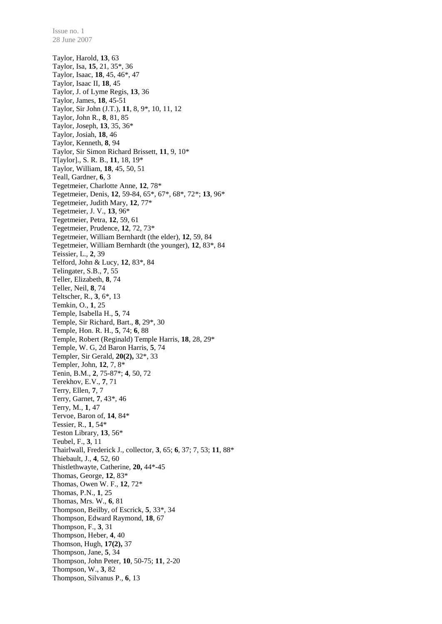Taylor, Harold, **13**, 63 Taylor, Isa, **15**, 21, 35\*, 36 Taylor, Isaac, **18**, 45, 46\*, 47 Taylor, Isaac II, **18**, 45 Taylor, J. of Lyme Regis, **13**, 36 Taylor, James, **18**, 45-51 Taylor, Sir John (J.T.), **11**, 8, 9\*, 10, 11, 12 Taylor, John R., **8**, 81, 85 Taylor, Joseph, **13**, 35, 36\* Taylor, Josiah, **18**, 46 Taylor, Kenneth, **8**, 94 Taylor, Sir Simon Richard Brissett, **11**, 9, 10\* T[aylor]., S. R. B., **11**, 18, 19\* Taylor, William, **18**, 45, 50, 51 Teall, Gardner, **6**, 3 Tegetmeier, Charlotte Anne, **12**, 78\* Tegetmeier, Denis, **12**, 59-84, 65\*, 67\*, 68\*, 72\*; **13**, 96\* Tegetmeier, Judith Mary, **12**, 77\* Tegetmeier, J. V., **13**, 96\* Tegetmeier, Petra, **12**, 59, 61 Tegetmeier, Prudence, **12**, 72, 73\* Tegetmeier, William Bernhardt (the elder), **12**, 59, 84 Tegetmeier, William Bernhardt (the younger), **12**, 83\*, 84 Teissier, L., **2**, 39 Telford, John & Lucy, **12**, 83\*, 84 Telingater, S.B., **7**, 55 Teller, Elizabeth, **8**, 74 Teller, Neil, **8**, 74 Teltscher, R., **3**, 6\*, 13 Temkin, O., **1**, 25 Temple, Isabella H., **5**, 74 Temple, Sir Richard, Bart., **8**, 29\*, 30 Temple, Hon. R. H., **5**, 74; **6**, 88 Temple, Robert (Reginald) Temple Harris, **18**, 28, 29\* Temple, W. G, 2d Baron Harris, **5**, 74 Templer, Sir Gerald, **20(2),** 32\*, 33 Templer, John, **12**, 7, 8\* Tenin, B.M., **2**, 75-87\*; **4**, 50, 72 Terekhov, E.V., **7**, 71 Terry, Ellen, **7**, 7 Terry, Garnet, **7**, 43\*, 46 Terry, M., **1**, 47 Tervoe, Baron of, **14**, 84\* Tessier, R., **1**, 54\* Teston Library, **13**, 56\* Teubel, F., **3**, 11 Thairlwall, Frederick J., collector, **3**, 65; **6**, 37; 7, 53; **11**, 88\* Thiebault, J., **4**, 52, 60 Thistlethwayte, Catherine, **20,** 44\*-45 Thomas, George, **12**, 83\* Thomas, Owen W. F., **12**, 72\* Thomas, P.N., **1**, 25 Thomas, Mrs. W., **6**, 81 Thompson, Beilby, of Escrick, **5**, 33\*, 34 Thompson, Edward Raymond, **18**, 67 Thompson, F., **3**, 31 Thompson, Heber, **4**, 40 Thomson, Hugh, **17(2),** 37 Thompson, Jane, **5**, 34 Thompson, John Peter, **10**, 50-75; **11**, 2-20 Thompson, W., **3**, 82 Thompson, Silvanus P., **6**, 13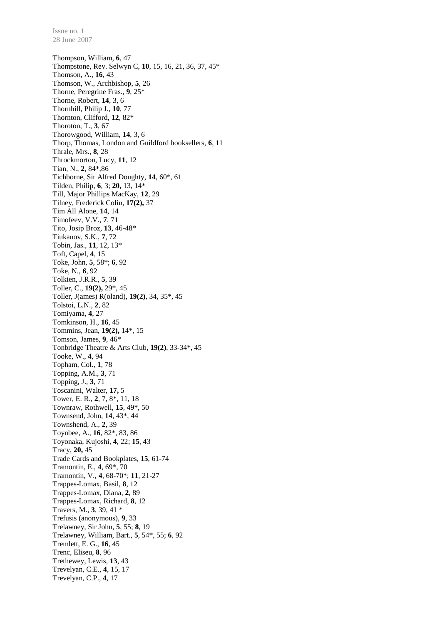Thompson, William, **6**, 47 Thompstone, Rev. Selwyn C, **10**, 15, 16, 21, 36, 37, 45\* Thomson, A., **16**, 43 Thomson, W., Archbishop, **5**, 26 Thorne, Peregrine Fras., **9**, 25\* Thorne, Robert, **14**, 3, 6 Thornhill, Philip J., **10**, 77 Thornton, Clifford, **12**, 82\* Thoroton, T., **3**, 67 Thorowgood, William, **14**, 3, 6 Thorp, Thomas, London and Guildford booksellers, **6**, 11 Thrale, Mrs., **8**, 28 Throckmorton, Lucy, **11**, 12 Tian, N., **2**, 84\*,86 Tichborne, Sir Alfred Doughty, **14**, 60\*, 61 Tilden, Philip, **6**, 3; **20,** 13, 14\* Till, Major Phillips MacKay, **12**, 29 Tilney, Frederick Colin, **17(2),** 37 Tim All Alone, **14**, 14 Timofeev, V.V., **7**, 71 Tito, Josip Broz, **13**, 46-48\* Tiukanov, S.K., **7**, 72 Tobin, Jas., **11**, 12, 13\* Toft, Capel, **4**, 15 Toke, John, **5**, 58\*; **6**, 92 Toke, N., **6**, 92 Tolkien, J.R.R., **5**, 39 Toller, C., **19(2),** 29\*, 45 Toller, J(ames) R(oland), **19(2)**, 34, 35\*, 45 Tolstoi, L.N., **2**, 82 Tomiyama, **4**, 27 Tomkinson, H., **16**, 45 Tommins, Jean, **19(2),** 14\*, 15 Tomson, James, **9**, 46\* Tonbridge Theatre & Arts Club, **19(2)**, 33-34\*, 45 Tooke, W., **4**, 94 Topham, Col., **1**, 78 Topping, A.M., **3**, 71 Topping, J., **3**, 71 Toscanini, Walter, **17,** 5 Tower, E. R., **2**, 7, 8\*, 11, 18 Townraw, Rothwell, **15**, 49\*, 50 Townsend, John, **14**, 43\*, 44 Townshend, A., **2**, 39 Toynbee, A., **16**, 82\*, 83, 86 Toyonaka, Kujoshi, **4**, 22; **15**, 43 Tracy, **20,** 45 Trade Cards and Bookplates, **15**, 61-74 Tramontin, E., **4**, 69\*, 70 Tramontin, V., **4**, 68-70\*; **11**, 21-27 Trappes-Lomax, Basil, **8**, 12 Trappes-Lomax, Diana, **2**, 89 Trappes-Lomax, Richard, **8**, 12 Travers, M., **3**, 39, 41 \* Trefusis (anonymous), **9**, 33 Trelawney, Sir John, **5**, 55; **8**, 19 Trelawney, William, Bart., **5**, 54\*, 55; **6**, 92 Tremlett, E. G., **16**, 45 Trenc, Eliseu, **8**, 96 Trethewey, Lewis, **13**, 43 Trevelyan, C.E., **4**, 15, 17 Trevelyan, C.P., **4**, 17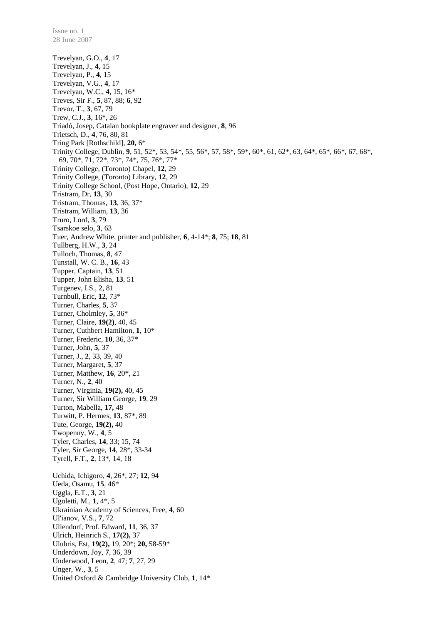Trevelyan, G.O., **4**, 17 Trevelyan, J., **4**, 15 Trevelyan, P., **4**, 15 Trevelyan, V.G., **4**, 17 Trevelyan, W.C., **4**, 15, 16\* Treves, Sir F., **5**, 87, 88; **6**, 92 Trevor, T., **3**, 67, 79 Trew, C.J., **3**, 16\*, 26 Triadó, Josep, Catalan bookplate engraver and designer, **8**, 96 Trietsch, D., **4**, 76, 80, 81 Tring Park [Rothschild], **20,** 6\* Trinity College, Dublin, **9**, 51, 52\*, 53, 54\*, 55, 56\*, 57, 58\*, 59\*, 60\*, 61, 62\*, 63, 64\*, 65\*, 66\*, 67, 68\*, 69, 70\*, 71, 72\*, 73\*, 74\*, 75, 76\*, 77\* Trinity College, (Toronto) Chapel, **12**, 29 Trinity College, (Toronto) Library, **12**, 29 Trinity College School, (Post Hope, Ontario), **12**, 29 Tristram, Dr, **13**, 30 Tristram, Thomas, **13**, 36, 37\* Tristram, William, **13**, 36 Truro, Lord, **3**, 79 Tsarskoe selo, **3**, 63 Tuer, Andrew White, printer and publisher, **6**, 4-14\*; **8**, 75; **18**, 81 Tullberg, H.W., **3**, 24 Tulloch, Thomas, **8**, 47 Tunstall, W. C. B., **16**, 43 Tupper, Captain, **13**, 51 Tupper, John Elisha, **13**, 51 Turgenev, I.S., 2, 81 Turnbull, Eric, **12**, 73\* Turner, Charles, **5**, 37 Turner, Cholmley, **5**, 36\* Turner, Claire, **19(2)**, 40, 45 Turner, Cuthbert Hamilton, **1**, 10\* Turner, Frederic, **10**, 36, 37\* Turner, John, **5**, 37 Turner, J., **2**, 33, 39, 40 Turner, Margaret, **5**, 37 Turner, Matthew, **16**, 20\*, 21 Turner, N., **2**, 40 Turner, Virginia, **19(2),** 40, 45 Turner, Sir William George, **19**, 29 Turton, Mabella, **17,** 48 Turwitt, P. Hermes, **13**, 87\*, 89 Tute, George, **19(2),** 40 Twopenny, W., **4**, 5 Tyler, Charles, **14**, 33; 15, 74 Tyler, Sir George, **14**, 28\*, 33-34 Tyrell, F.T., **2**, 13\*, 14, 18 Uchida, Ichigoro, **4**, 26\*, 27; **12**, 94 Ueda, Osamu, **15**, 46\* Uggla, E.T., **3**, 21 Ugoletti, M., **1**, 4\*, 5 Ukrainian Academy of Sciences, Free, **4**, 60 Ul'ianov, V.S., **7**, 72 Ullendorf, Prof. Edward, **11**, 36, 37 Ulrich, Heinrich S., **17(2),** 37 Ulubris, Est, **19(2),** 19, 20\*; **20,** 58-59\* Underdown, Joy, **7**, 36, 39 Underwood, Leon, **2**, 47; **7**, 27, 29 Unger, W., **3**, 5 United Oxford & Cambridge University Club, **1**, 14\*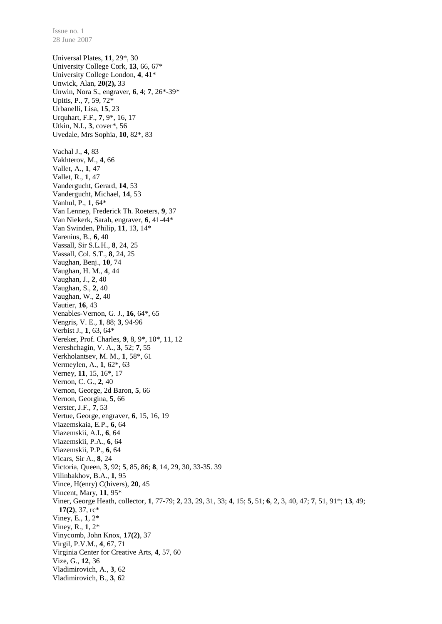Universal Plates, **11**, 29\*, 30 University College Cork, **13**, 66, 67\* University College London, **4**, 41\* Unwick, Alan, **20(2),** 33 Unwin, Nora S., engraver, **6**, 4; **7**, 26\*-39\* Upitis, P., **7**, 59, 72\* Urbanelli, Lisa, **15**, 23 Urquhart, F.F., **7**, 9\*, 16, 17 Utkin, N.I., **3**, cover\*, 56 Uvedale, Mrs Sophia, **10**, 82\*, 83 Vachal J., **4**, 83 Vakhterov, M., **4**, 66 Vallet, A., **1**, 47 Vallet, R., **1**, 47 Vandergucht, Gerard, **14**, 53 Vandergucht, Michael, **14**, 53 Vanhul, P., **1**, 64\* Van Lennep, Frederick Th. Roeters, **9**, 37 Van Niekerk, Sarah, engraver, **6**, 41-44\* Van Swinden, Philip, **11**, 13, 14\* Varenius, B., **6**, 40 Vassall, Sir S.L.H., **8**, 24, 25 Vassall, Col. S.T., **8**, 24, 25 Vaughan, Benj., **10**, 74 Vaughan, H. M., **4**, 44 Vaughan, J., **2**, 40 Vaughan, S., **2**, 40 Vaughan, W., **2**, 40 Vautier, **16**, 43 Venables-Vernon, G. J., **16**, 64\*, 65 Vengris, V. E., **1**, 88; **3**, 94-96 Verbist J., **1**, 63, 64\* Vereker, Prof. Charles, **9**, 8, 9\*, 10\*, 11, 12 Vereshchagin, V. A., **3**, 52; **7**, 55 Verkholantsev, M. M., **1**, 58\*, 61 Vermeylen, A., **1**, 62\*, 63 Verney, **11**, 15, 16\*, 17 Vernon, C. G., **2**, 40 Vernon, George, 2d Baron, **5**, 66 Vernon, Georgina, **5**, 66 Verster, J.F., **7**, 53 Vertue, George, engraver, **6**, 15, 16, 19 Viazemskaia, E.P., **6**, 64 Viazemskii, A.I., **6**, 64 Viazemskii, P.A., **6**, 64 Viazemskii, P.P., **6**, 64 Vicars, Sir A., **8**, 24 Victoria, Queen, **3**, 92; **5**, 85, 86; **8**, 14, 29, 30, 33-35. 39 Vilinbakhov, B.A., **1**, 95 Vince, H(enry) C(hivers), **20**, 45 Vincent, Mary, **11**, 95\* Viner, George Heath, collector, **1**, 77-79; **2**, 23, 29, 31, 33; **4**, 15; **5**, 51; **6**, 2, 3, 40, 47; **7**, 51, 91\*; **13**, 49; **17(2)**, 37, rc\* Viney, E., **1**, 2\* Viney, R., **1**, 2\* Vinycomb, John Knox, **17(2)**, 37 Virgil, P.V.M., **4**, 67, 71 Virginia Center for Creative Arts, **4**, 57, 60 Vize, G., **12**, 36 Vladimirovich, A., **3**, 62 Vladimirovich, B., **3**, 62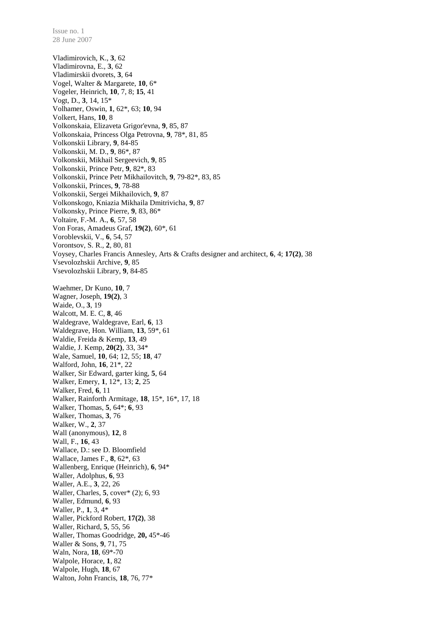Vladimirovich, K., **3**, 62 Vladimirovna, E., **3**, 62 Vladimirskii dvorets, **3**, 64 Vogel, Walter & Margarete, **10**, 6\* Vogeler, Heinrich, **10**, 7, 8; **15**, 41 Vogt, D., **3**, 14, 15\* Volhamer, Oswin, **1**, 62\*, 63; **10**, 94 Volkert, Hans, **10**, 8 Volkonskaia, Elizaveta Grigor'evna, **9**, 85, 87 Volkonskaia, Princess Olga Petrovna, **9**, 78\*, 81, 85 Volkonskii Library, **9**, 84-85 Volkonskii, M. D., **9**, 86\*, 87 Volkonskii, Mikhail Sergeevich, **9**, 85 Volkonskii, Prince Petr, **9**, 82\*, 83 Volkonskii, Prince Petr Mikhailovitch, **9**, 79-82\*, 83, 85 Volkonskii, Princes, **9**, 78-88 Volkonskii, Sergei Mikhailovich, **9**, 87 Volkonskogo, Kniazia Mikhaila Dmitrivicha, **9**, 87 Volkonsky, Prince Pierre, **9**, 83, 86\* Voltaire, F.-M. A., **6**, 57, 58 Von Foras, Amadeus Graf, **19(2)**, 60\*, 61 Voroblevskii, V., **6**, 54, 57 Vorontsov, S. R., **2**, 80, 81 Voysey, Charles Francis Annesley, Arts & Crafts designer and architect, **6**, 4; **17(2)**, 38 Vsevolozhskii Archive, **9**, 85 Vsevolozhskii Library, **9**, 84-85 Waehmer, Dr Kuno, **10**, 7 Wagner, Joseph, **19(2)**, 3 Waide, O., **3**, 19 Walcott, M. E. C, **8**, 46 Waldegrave, Waldegrave, Earl, **6**, 13 Waldegrave, Hon. William, **13**, 59\*, 61 Waldie, Freida & Kemp, **13**, 49 Waldie, J. Kemp, **20(2)**, 33, 34\* Wale, Samuel, **10**, 64; 12, 55; **18**, 47 Walford, John, **16**, 21\*, 22 Walker, Sir Edward, garter king, **5**, 64 Walker, Emery, **1**, 12\*, 13; **2**, 25 Walker, Fred, **6**, 11 Walker, Rainforth Armitage, **18**, 15\*, 16\*, 17, 18 Walker, Thomas, **5**, 64\*; **6**, 93 Walker, Thomas, **3**, 76 Walker, W., **2**, 37 Wall (anonymous), **12**, 8 Wall, F., **16**, 43 Wallace, D.: see D. Bloomfield Wallace, James F., **8**, 62\*, 63 Wallenberg, Enrique (Heinrich), **6**, 94\* Waller, Adolphus, **6**, 93 Waller, A.E., **3**, 22, 26 Waller, Charles, **5**, cover\* (2); 6, 93 Waller, Edmund, **6**, 93 Waller, P., **1**, 3, 4\* Waller, Pickford Robert, **17(2)**, 38 Waller, Richard, **5**, 55, 56 Waller, Thomas Goodridge, **20,** 45\*-46 Waller & Sons, **9**, 71, 75 Waln, Nora, **18**, 69\*-70 Walpole, Horace, **1**, 82 Walpole, Hugh, **18**, 67 Walton, John Francis, **18**, 76, 77\*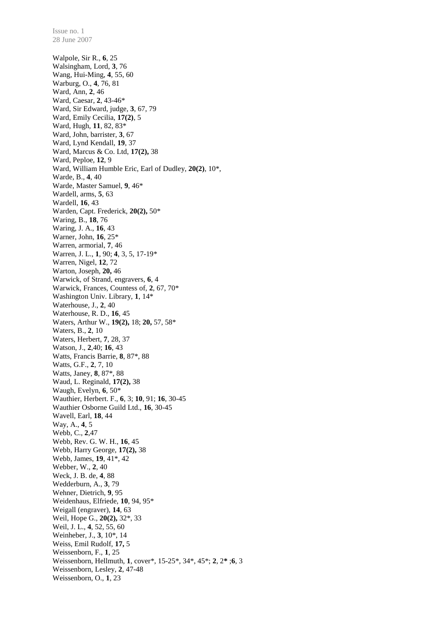Walpole, Sir R., **6**, 25 Walsingham, Lord, **3**, 76 Wang, Hui-Ming, **4**, 55, 60 Warburg, O., **4**, 76, 81 Ward, Ann, **2**, 46 Ward, Caesar, **2**, 43-46\* Ward, Sir Edward, judge, **3**, 67, 79 Ward, Emily Cecilia, **17(2)**, 5 Ward, Hugh, **11**, 82, 83\* Ward, John, barrister, **3**, 67 Ward, Lynd Kendall, **19**, 37 Ward, Marcus & Co. Ltd, **17(2),** 38 Ward, Peploe, **12**, 9 Ward, William Humble Eric, Earl of Dudley, **20(2)**, 10\*, Warde, B., **4**, 40 Warde, Master Samuel, **9**, 46\* Wardell, arms, **5**, 63 Wardell, **16**, 43 Warden, Capt. Frederick, **20(2),** 50\* Waring, B., **18**, 76 Waring, J. A., **16**, 43 Warner, John, **16**, 25\* Warren, armorial, **7**, 46 Warren, J. L., **1**, 90; **4**, 3, 5, 17-19\* Warren, Nigel, **12**, 72 Warton, Joseph, **20,** 46 Warwick, of Strand, engravers, **6**, 4 Warwick, Frances, Countess of, **2**, 67, 70\* Washington Univ. Library, **1**, 14\* Waterhouse, J., **2**, 40 Waterhouse, R. D., **16**, 45 Waters, Arthur W., **19(2),** 18; **20,** 57, 58\* Waters, B., **2**, 10 Waters, Herbert, **7**, 28, 37 Watson, J., **2**,40; **16**, 43 Watts, Francis Barrie, **8**, 87\*, 88 Watts, G.F., **2**, 7, 10 Watts, Janey, **8**, 87\*, 88 Waud, L. Reginald, **17(2),** 38 Waugh, Evelyn, **6**, 50\* Wauthier, Herbert. F., **6**, 3; **10**, 91; **16**, 30-45 Wauthier Osborne Guild Ltd., **16**, 30-45 Wavell, Earl, **18**, 44 Way, A., **4**, 5 Webb, C., **2**,47 Webb, Rev. G. W. H., **16**, 45 Webb, Harry George, **17(2),** 38 Webb, James, **19**, 41\*, 42 Webber, W., **2**, 40 Weck, J. B. de, **4**, 88 Wedderburn, A., **3**, 79 Wehner, Dietrich, **9**, 95 Weidenhaus, Elfriede, **10**, 94, 95\* Weigall (engraver), **14**, 63 Weil, Hope G., **20(2),** 32\*, 33 Weil, J. L., **4**, 52, 55, 60 Weinheber, J., **3**, 10\*, 14 Weiss, Emil Rudolf, **17,** 5 Weissenborn, F., **1**, 25 Weissenborn, Hellmuth, **1**, cover\*, 15-25\*, 34\*, 45\*; **2**, 2**\*** ;**6**, 3 Weissenborn, Lesley, **2**, 47-48 Weissenborn, O., **1**, 23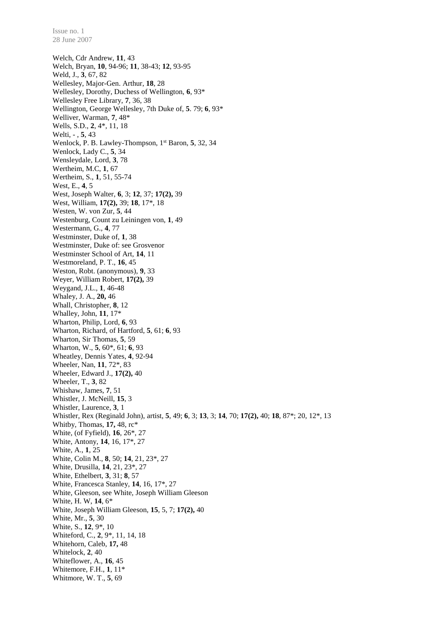Welch, Cdr Andrew, **11**, 43 Welch, Bryan, **10**, 94-96; **11**, 38-43; **12**, 93-95 Weld, J., **3**, 67, 82 Wellesley, Major-Gen. Arthur, **18**, 28 Wellesley, Dorothy, Duchess of Wellington, **6**, 93\* Wellesley Free Library, **7**, 36, 38 Wellington, George Wellesley, 7th Duke of, **5**. 79; **6**, 93\* Welliver, Warman, **7**, 48\* Wells, S.D., **2**, 4\*, 11, 18 Welti, - , **5**, 43 Wenlock, P. B. Lawley-Thompson, 1<sup>st</sup> Baron, 5, 32, 34 Wenlock, Lady C., **5**, 34 Wensleydale, Lord, **3**, 78 Wertheim, M.C, **1**, 67 Wertheim, S., **1**, 51, 55-74 West, E., **4**, 5 West, Joseph Walter, **6**, 3; **12**, 37; **17(2),** 39 West, William, **17(2),** 39; **18**, 17\*, 18 Westen, W. von Zur, **5**, 44 Westenburg, Count zu Leiningen von, **1**, 49 Westermann, G., **4**, 77 Westminster, Duke of, **1**, 38 Westminster, Duke of: see Grosvenor Westminster School of Art, **14**, 11 Westmoreland, P. T., **16**, 45 Weston, Robt. (anonymous), **9**, 33 Weyer, William Robert, **17(2),** 39 Weygand, J.L., **1**, 46-48 Whaley, J. A., **20,** 46 Whall, Christopher, **8**, 12 Whalley, John, **11**, 17\* Wharton, Philip, Lord, **6**, 93 Wharton, Richard, of Hartford, **5**, 61; **6**, 93 Wharton, Sir Thomas, **5**, 59 Wharton, W., **5**, 60\*, 61; **6**, 93 Wheatley, Dennis Yates, **4**, 92-94 Wheeler, Nan, **11**, 72\*, 83 Wheeler, Edward J., **17(2),** 40 Wheeler, T., **3**, 82 Whishaw, James, **7**, 51 Whistler, J. McNeill, **15**, 3 Whistler, Laurence, **3**, 1 Whistler, Rex (Reginald John), artist, **5**, 49; **6**, 3; **13**, 3; **14**, 70; **17(2),** 40; **18**, 87\*; 20, 12\*, 13 Whitby, Thomas, **17,** 48, rc\* White, (of Fyfield), **16**, 26\*, 27 White, Antony, **14**, 16, 17\*, 27 White, A., **1**, 25 White, Colin M., **8**, 50; **14**, 21, 23\*, 27 White, Drusilla, **14**, 21, 23\*, 27 White, Ethelbert, **3**, 31; **8**, 57 White, Francesca Stanley, **14**, 16, 17\*, 27 White, Gleeson, see White, Joseph William Gleeson White, H. W, **14**, 6\* White, Joseph William Gleeson, **15**, 5, 7; **17(2),** 40 White, Mr., **5**, 30 White, S., **12**, 9\*, 10 Whiteford, C., **2**, 9\*, 11, 14, 18 Whitehorn, Caleb, **17,** 48 Whitelock, **2**, 40 Whiteflower, A., **16**, 45 Whitemore, F.H., **1**, 11\* Whitmore, W. T., **5**, 69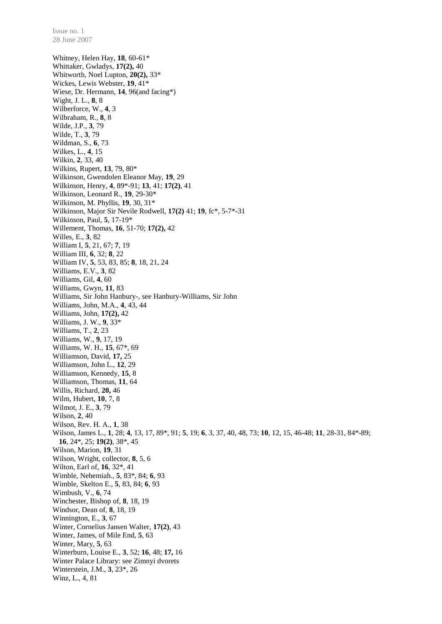Whitney, Helen Hay, **18**, 60-61\* Whittaker, Gwladys, **17(2),** 40 Whitworth, Noel Lupton, **20(2),** 33\* Wickes, Lewis Webster, **19**, 41\* Wiese, Dr. Hermann, **14**, 96(and facing\*) Wight, J. L., **8**, 8 Wilberforce, W., **4**, 3 Wilbraham, R., **8**, 8 Wilde, J.P., **3**, 79 Wilde, T., **3**, 79 Wildman, S., **6**, 73 Wilkes, L., **4**, 15 Wilkin, **2**, 33, 40 Wilkins, Rupert, **13**, 79, 80\* Wilkinson, Gwendolen Eleanor May, **19**, 29 Wilkinson, Henry, **4**, 89\*-91; **13**, 41; **17(2)**, 41 Wilkinson, Leonard R., **19**, 29-30\* Wilkinson, M. Phyllis, **19**, 30, 31\* Wilkinson, Major Sir Nevile Rodwell, **17(2)** 41; **19**, fc\*, 5-7\*-31 Wilkinson, Paul, **5**, 17-19\* Willement, Thomas, **16**, 51-70; **17(2),** 42 Willes, E., **3**, 82 William I, **5**, 21, 67; **7**, 19 William III, **6**, 32; **8**, 22 William IV, **5**, 53, 83, 85; **8**, 18, 21, 24 Williams, E.V., **3**, 82 Williams, Gil, **4**, 60 Williams, Gwyn, **11**, 83 Williams, Sir John Hanbury-, see Hanbury-Williams, Sir John Williams, John, M.A., **4**, 43, 44 Williams, John, **17(2),** 42 Williams, J. W., **9**, 33\* Williams, T., **2**, 23 Williams, W., **9**, 17, 19 Williams, W. H., **15**, 67\*, 69 Williamson, David, **17,** 25 Williamson, John L., **12**, 29 Williamson, Kennedy, **15**, 8 Williamson, Thomas, **11**, 64 Willis, Richard, **20,** 46 Wilm, Hubert, **10**, 7, 8 Wilmot, J. E., **3**, 79 Wilson, **2**, 40 Wilson, Rev. H. A., **1**, 38 Wilson, James L., **1**, 28; **4**, 13, 17, 89\*, 91; **5**, 19; **6**, 3, 37, 40, 48, 73; **10**, 12, 15, 46-48; **11**, 28-31, 84\*-89; **16**, 24\*, 25; **19(2)**, 38\*, 45 Wilson, Marion, **19**, 31 Wilson, Wright, collector, **8**, 5, 6 Wilton, Earl of, **16**, 32\*, 41 Wimble, Nehemiah., **5**, 83\*, 84; **6**, 93 Wimble, Skelton E., **5**, 83, 84; **6**, 93 Wimbush, V., **6**, 74 Winchester, Bishop of, **8**, 18, 19 Windsor, Dean of, **8**, 18, 19 Winnington, E., **3**, 67 Winter, Cornelius Jansen Walter, **17(2)**, 43 Winter, James, of Mile End, **5**, 63 Winter, Mary, **5**, 63 Winterburn, Louise E., **3**, 52; **16**, 48; **17,** 16 Winter Palace Library: see Zimnyi dvorets Winterstein, J.M., **3**, 23\*, 26 Winz, L., 4, 81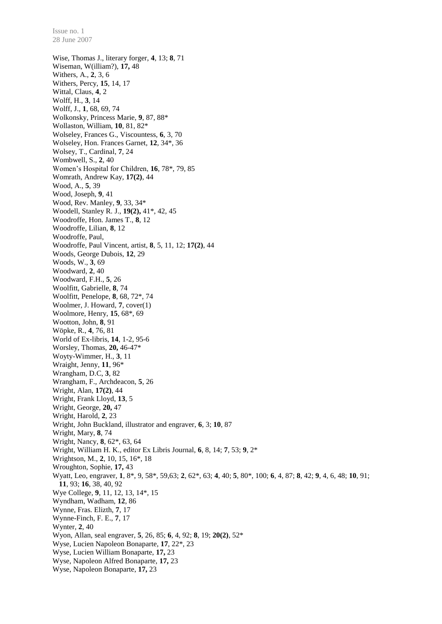Wise, Thomas J., literary forger, **4**, 13; **8**, 71 Wiseman, W(illiam?), **17,** 48 Withers, A., **2**, 3, 6 Withers, Percy, **15**, 14, 17 Wittal, Claus, **4**, 2 Wolff, H., **3**, 14 Wolff, J., **1**, 68, 69, 74 Wolkonsky, Princess Marie, **9**, 87, 88\* Wollaston, William, **10**, 81, 82\* Wolseley, Frances G., Viscountess, **6**, 3, 70 Wolseley, Hon. Frances Garnet, **12**, 34\*, 36 Wolsey, T., Cardinal, **7**, 24 Wombwell, S., **2**, 40 Women's Hospital for Children, **16**, 78\*, 79, 85 Womrath, Andrew Kay, **17(2)**, 44 Wood, A., **5**, 39 Wood, Joseph, **9**, 41 Wood, Rev. Manley, **9**, 33, 34\* Woodell, Stanley R. J., **19(2),** 41\*, 42, 45 Woodroffe, Hon. James T., **8**, 12 Woodroffe, Lilian, **8**, 12 Woodroffe, Paul, Woodroffe, Paul Vincent, artist, **8**, 5, 11, 12; **17(2)**, 44 Woods, George Dubois, **12**, 29 Woods, W., **3**, 69 Woodward, **2**, 40 Woodward, F.H., **5**, 26 Woolfitt, Gabrielle, **8**, 74 Woolfitt, Penelope, **8**, 68, 72\*, 74 Woolmer, J. Howard, **7**, cover(1) Woolmore, Henry, **15**, 68\*, 69 Wootton, John, **8**, 91 Wöpke, R., **4**, 76, 81 World of Ex-libris, **14**, 1-2, 95-6 Worsley, Thomas, **20,** 46-47\* Woyty-Wimmer, H., **3**, 11 Wraight, Jenny, **11**, 96\* Wrangham, D.C, **3**, 82 Wrangham, F., Archdeacon, **5**, 26 Wright, Alan, **17(2)**, 44 Wright, Frank Lloyd, **13**, 5 Wright, George, **20,** 47 Wright, Harold, **2**, 23 Wright, John Buckland, illustrator and engraver, **6**, 3; **10**, 87 Wright, Mary, **8**, 74 Wright, Nancy, **8**, 62\*, 63, 64 Wright, William H. K., editor Ex Libris Journal, **6**, 8, 14; **7**, 53; **9**, 2\* Wrightson, M., **2**, 10, 15, 16\*, 18 Wroughton, Sophie, **17,** 43 Wyatt, Leo, engraver, **1**, 8\*, 9, 58\*, 59,63; **2**, 62\*, 63; **4**, 40; **5**, 80\*, 100; **6**, 4, 87; **8**, 42; **9**, 4, 6, 48; **10**, 91; **11**, 93; **16**, 38, 40, 92 Wye College, **9**, 11, 12, 13, 14\*, 15 Wyndham, Wadham, **12**, 86 Wynne, Fras. Elizth, **7**, 17 Wynne-Finch, F. E., **7**, 17 Wynter, **2**, 40 Wyon, Allan, seal engraver, **5**, 26, 85; **6**, 4, 92; **8**, 19; **20(2)**, 52\* Wyse, Lucien Napoleon Bonaparte, **17**, 22\*, 23 Wyse, Lucien William Bonaparte, **17,** 23 Wyse, Napoleon Alfred Bonaparte, **17,** 23 Wyse, Napoleon Bonaparte, **17,** 23